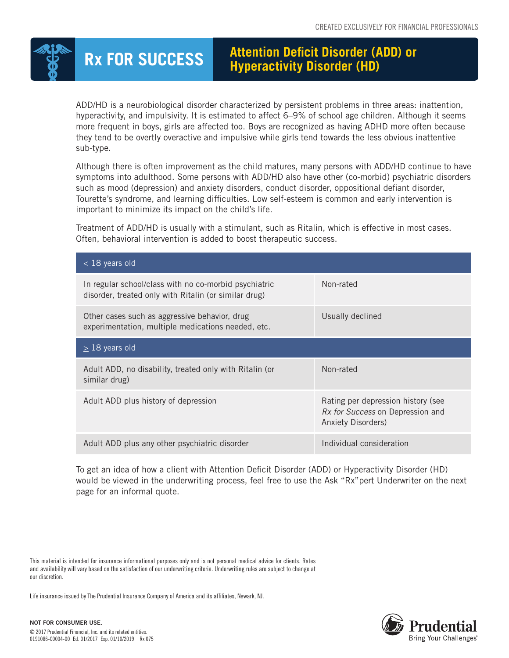

**Attention Deficit Disorder (ADD) or Hyperactivity Disorder (HD) Rx FOR SUCCESS**

ADD/HD is a neurobiological disorder characterized by persistent problems in three areas: inattention, hyperactivity, and impulsivity. It is estimated to affect 6–9% of school age children. Although it seems more frequent in boys, girls are affected too. Boys are recognized as having ADHD more often because they tend to be overtly overactive and impulsive while girls tend towards the less obvious inattentive sub-type.

Although there is often improvement as the child matures, many persons with ADD/HD continue to have symptoms into adulthood. Some persons with ADD/HD also have other (co-morbid) psychiatric disorders such as mood (depression) and anxiety disorders, conduct disorder, oppositional defiant disorder, Tourette's syndrome, and learning difficulties. Low self-esteem is common and early intervention is important to minimize its impact on the child's life.

Treatment of ADD/HD is usually with a stimulant, such as Ritalin, which is effective in most cases. Often, behavioral intervention is added to boost therapeutic success.

| $<$ 18 years old                                                                                               |                                                                                                            |
|----------------------------------------------------------------------------------------------------------------|------------------------------------------------------------------------------------------------------------|
| In regular school/class with no co-morbid psychiatric<br>disorder, treated only with Ritalin (or similar drug) | Non-rated                                                                                                  |
| Other cases such as aggressive behavior, drug<br>experimentation, multiple medications needed, etc.            | Usually declined                                                                                           |
| $\geq$ 18 years old                                                                                            |                                                                                                            |
| Adult ADD, no disability, treated only with Ritalin (or<br>similar drug)                                       | Non-rated                                                                                                  |
| Adult ADD plus history of depression                                                                           | Rating per depression history (see<br><i>Rx for Success</i> on Depression and<br><b>Anxiety Disorders)</b> |
| Adult ADD plus any other psychiatric disorder                                                                  | Individual consideration                                                                                   |

To get an idea of how a client with Attention Deficit Disorder (ADD) or Hyperactivity Disorder (HD) would be viewed in the underwriting process, feel free to use the Ask "Rx"pert Underwriter on the next page for an informal quote.

This material is intended for insurance informational purposes only and is not personal medical advice for clients. Rates and availability will vary based on the satisfaction of our underwriting criteria. Underwriting rules are subject to change at our discretion.

Life insurance issued by The Prudential Insurance Company of America and its affiliates, Newark, NJ.